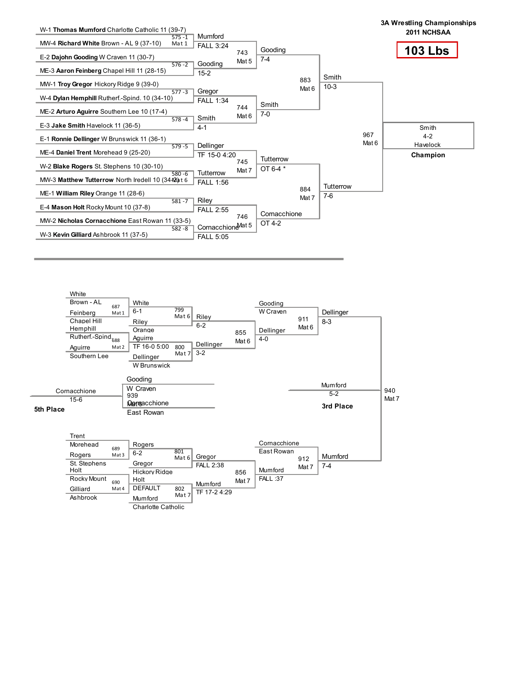

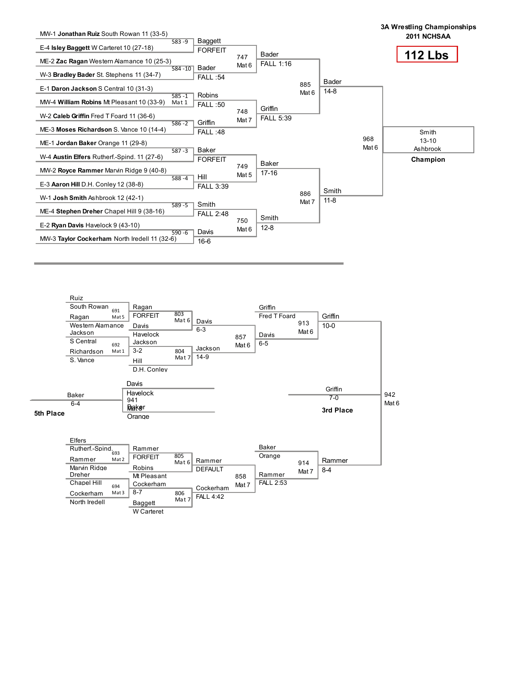

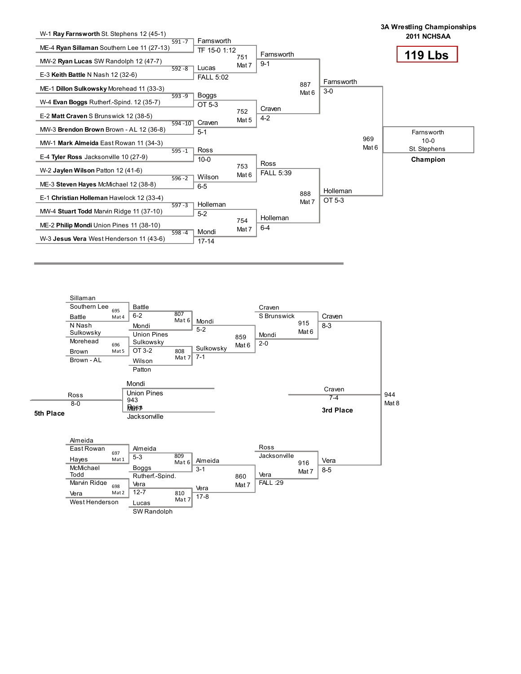

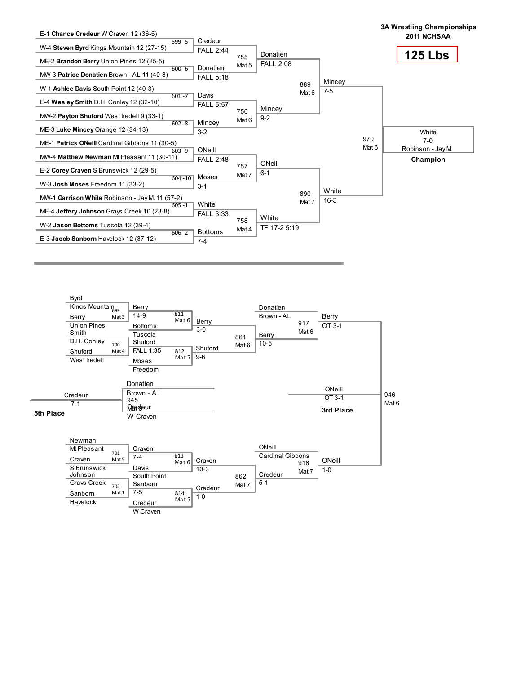

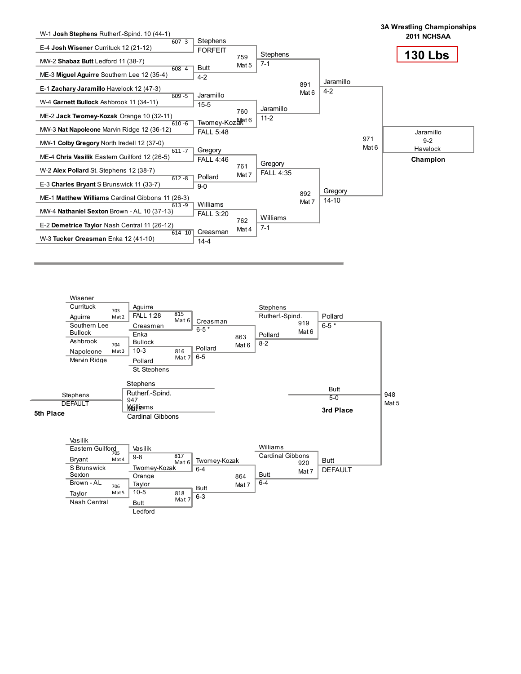

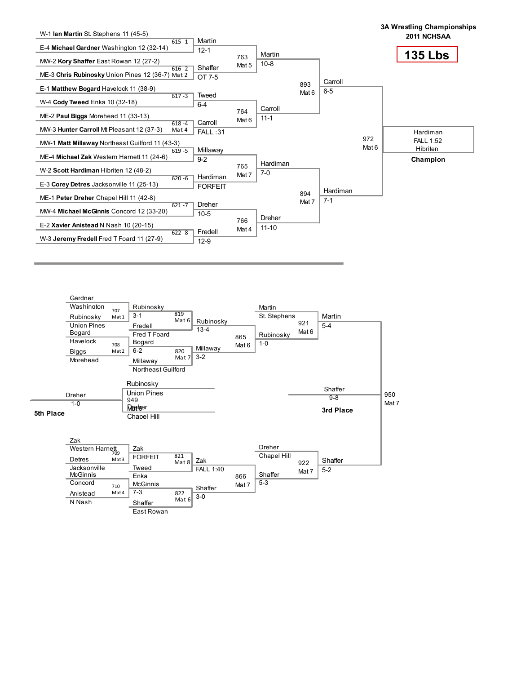

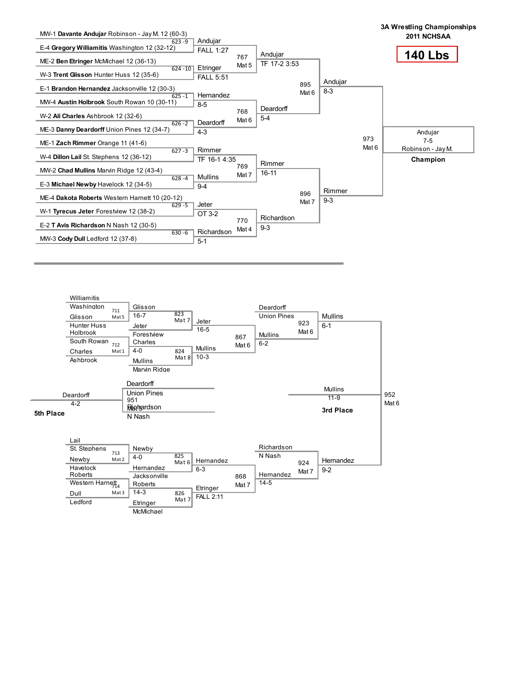

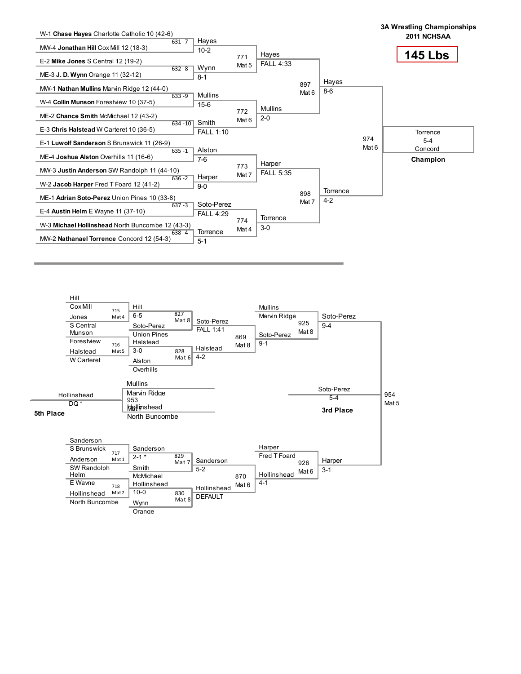

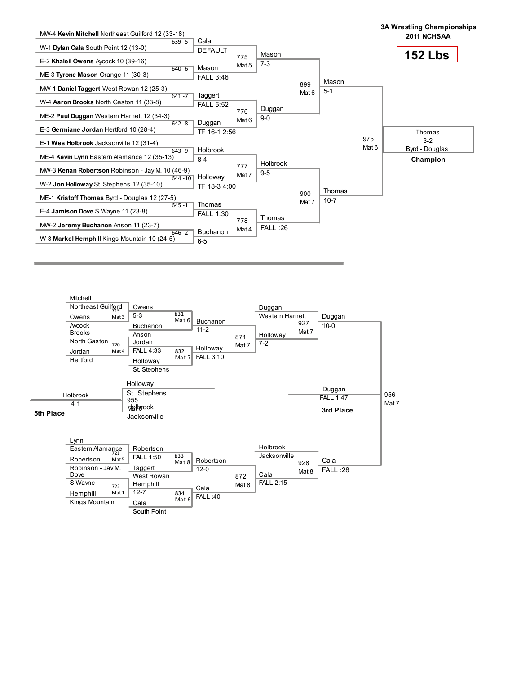

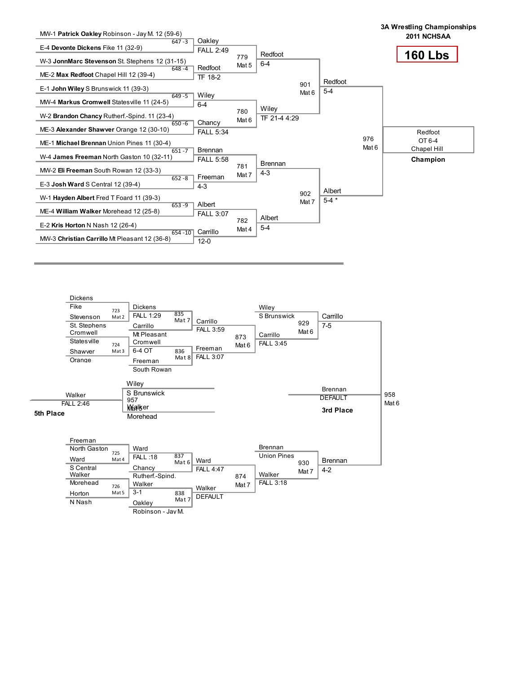

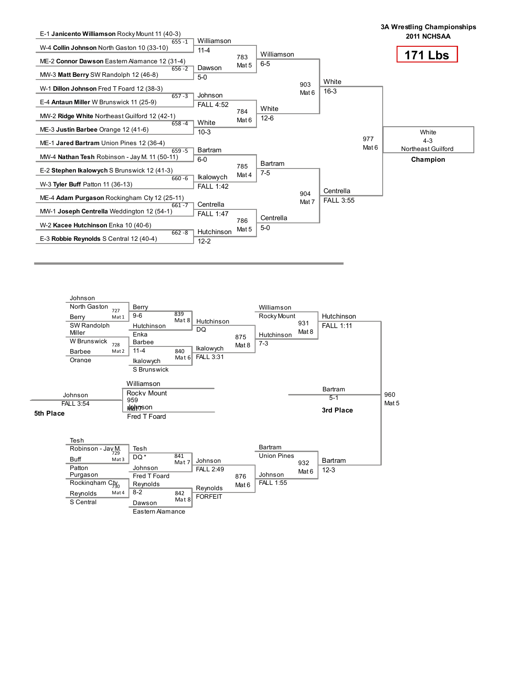

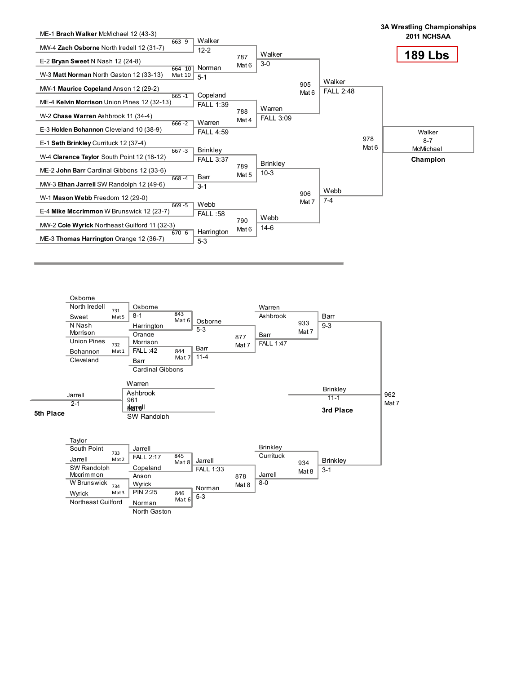

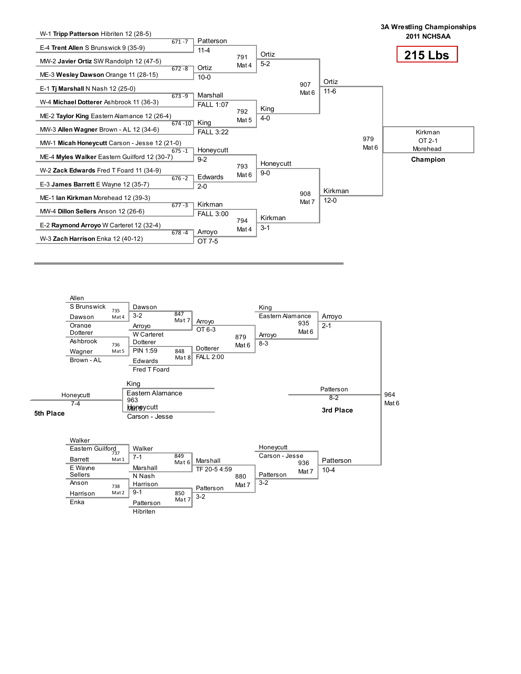